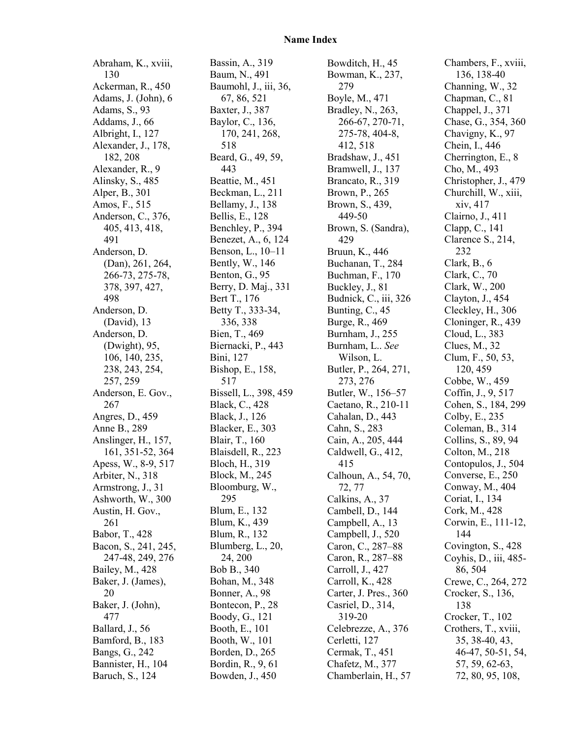## **Name Index**

Abraham, K., xviii, 130 Ackerman, R., 450 Adams, J. (John), 6 Adams, S., 93 Addams, J., 66 Albright, I., 127 Alexander, J., 178, 182, 208 Alexander, R., 9 Alinsky, S., 485 Alper, B., 301 Amos, F., 515 Anderson, C., 376, 405, 413, 418, 491 Anderson, D. (Dan), 261, 264, 266-73, 275-78, 378, 397, 427, 498 Anderson, D. (David), 13 Anderson, D. (Dwight), 95, 106, 140, 235, 238, 243, 254, 257, 259 Anderson, E. Gov., 267 Angres, D., 459 Anne B., 289 Anslinger, H., 157, 161, 351-52, 364 Apess, W., 8-9, 517 Arbiter, N., 318 Armstrong, J., 31 Ashworth, W., 300 Austin, H. Gov., 261 Babor, T., 428 Bacon, S., 241, 245, 247-48, 249, 276 Bailey, M., 428 Baker, J. (James), 20 Baker, J. (John), 477 Ballard, J., 56 Bamford, B., 183 Bangs, G., 242 Bannister, H., 104 Baruch, S., 124

Bassin, A., 319 Baum, N., 491 Baumohl, J., iii, 36, 67, 86, 521 Baxter, J., 387 Baylor, C., 136, 170, 241, 268, 518 Beard, G., 49, 59, 443 Beattie, M., 451 Beckman, L., 211 Bellamy, J., 138 Bellis, E., 128 Benchley, P., 394 Benezet, A., 6, 124 Benson, L., 10–11 Bently, W., 146 Benton, G., 95 Berry, D. Maj., 331 Bert T., 176 Betty T., 333-34, 336, 338 Bien, T., 469 Biernacki, P., 443 Bini, 127 Bishop, E., 158, 517 Bissell, L., 398, 459 Black, C., 428 Black, J., 126 Blacker, E., 303 Blair, T., 160 Blaisdell, R., 223 Bloch, H., 319 Block, M., 245 Bloomburg, W., 295 Blum, E., 132 Blum, K., 439 Blum, R., 132 Blumberg, L., 20, 24, 200 Bob B., 340 Bohan, M., 348 Bonner, A., 98 Bontecon, P., 28 Boody, G., 121 Booth, E., 101 Booth, W., 101 Borden, D., 265 Bordin, R., 9, 61 Bowden, J., 450

Bowditch, H., 45 Bowman, K., 237, 279 Boyle, M., 471 Bradley, N., 263, 266-67, 270-71, 275-78, 404-8, 412, 518 Bradshaw, J., 451 Bramwell, J., 137 Brancato, R., 319 Brown, P., 265 Brown, S., 439, 449-50 Brown, S. (Sandra), 429 Bruun, K., 446 Buchanan, T., 284 Buchman, F., 170 Buckley, J., 81 Budnick, C., iii, 326 Bunting, C., 45 Burge, R., 469 Burnham, J., 255 Burnham, L.. *See* Wilson, L. Butler, P., 264, 271, 273, 276 Butler, W., 156–57 Caetano, R., 210-11 Cahalan, D., 443 Cahn, S., 283 Cain, A., 205, 444 Caldwell, G., 412, 415 Calhoun, A., 54, 70, 72, 77 Calkins, A., 37 Cambell, D., 144 Campbell, A., 13 Campbell, J., 520 Caron, C., 287–88 Caron, R., 287–88 Carroll, J., 427 Carroll, K., 428 Carter, J. Pres., 360 Casriel, D., 314, 319-20 Celebrezze, A., 376 Cerletti, 127 Cermak, T., 451 Chafetz, M., 377 Chamberlain, H., 57

Chambers, F., xviii, 136, 138-40 Channing, W., 32 Chapman, C., 81 Chappel, J., 371 Chase, G., 354, 360 Chavigny, K., 97 Chein, I., 446 Cherrington, E., 8 Cho, M., 493 Christopher, J., 479 Churchill, W., xiii, xiv, 417 Clairno, J., 411 Clapp, C., 141 Clarence S., 214, 232 Clark, B., 6 Clark, C., 70 Clark, W., 200 Clayton, J., 454 Cleckley, H., 306 Cloninger, R., 439 Cloud, L., 383 Clues, M., 32 Clum, F., 50, 53, 120, 459 Cobbe, W., 459 Coffin, J., 9, 517 Cohen, S., 184, 299 Colby, E., 235 Coleman, B., 314 Collins, S., 89, 94 Colton, M., 218 Contopulos, J., 504 Converse, E., 250 Conway, M., 404 Coriat, I., 134 Cork, M., 428 Corwin, E., 111-12, 144 Covington, S., 428 Coyhis, D., iii, 485- 86, 504 Crewe, C., 264, 272 Crocker, S., 136, 138 Crocker, T., 102 Crothers, T., xviii, 35, 38-40, 43, 46-47, 50-51, 54, 57, 59, 62-63, 72, 80, 95, 108,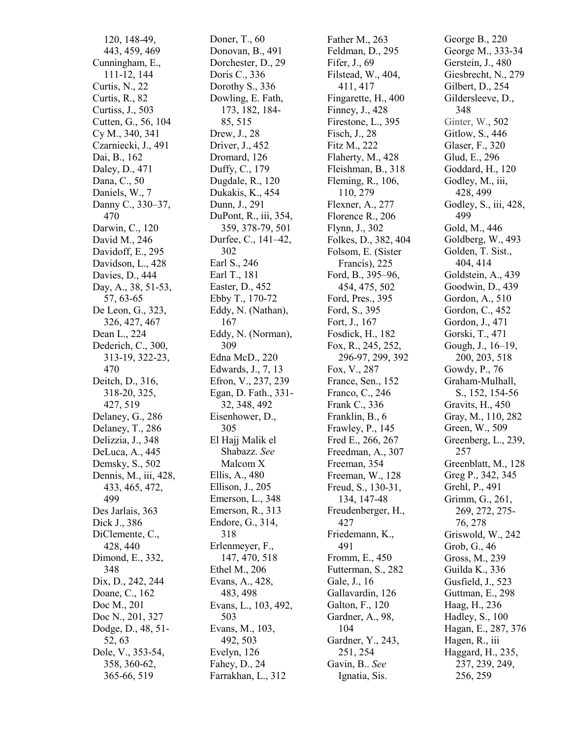120, 148 -49, 443, 459, 469 Cunningham, E., 111 -12, 144 Curtis, N., 22 Curtis, R., 82 Curtiss, J., 50 3 Cutten, G., 56, 104 Cy M., 340, 341 Czarniecki, J., 49 1 Dai, B., 162 Daley, D., 471 Dana, C., 50 Daniels, W., 7 Danny C., 330 –37, 47 0 Darwin, C., 120 David M., 246 Davidoff, E., 295 Davidson, L., 42 8 Davies, D., 444 Day, A., 38, 51 -53, 57, 63 -65 De Leon, G., 323, 326, 427, 46 7 Dean L., 224 Dederich, C., 300, 313 -19, 322 -23, 47 0 Deitch, D., 316, 318 -20, 325, 427, 519 Delaney, G., 286 Delaney, T., 286 Delizzia, J., 348 DeLuca, A., 44 5 Demsky, S., 502 Dennis, M., iii, 42 8, 43 3, 46 5, 472, 499 Des Jarlais, 363 Dick J., 38 6 DiClemente, C., 428, 44 0 Dimond, E., 332, 348 Dix, D., 242, 244 Doane, C., 162 Doc M., 201 Doc N., 201, 327 Dodge, D., 48, 51 - 52, 63 Dole, V., 353 - 5 4, 358, 360 -62, 365 -66, 519

Doner, T., 60 Donovan, B., 49 1 Dorchester, D., 29 Doris C., 336 Dorothy S., 336 Dowling, E. Fath, 173, 182, 184 - 85, 515 Drew, J., 28 Driver, J., 45 2 Dromard, 126 Duffy, C., 179 Dugdale, R., 120 Dukakis, K., 45 4 Dunn, J., 291 DuPont, R., iii, 354, 359, 37 8 -79, 50 1 Durfee, C., 141 –42, 302 Earl S., 246 Earl T., 181 Easter, D., 452 Ebby T., 170-72 Eddy, N. (Nathan), 167 Eddy, N. (Norman), 309 Edna McD., 220 Edwards, J., 7, 13 Efron, V., 237, 239 Egan, D. Fath., 331 - 32, 348, 49 2 Eisenhower, D., 305 El Hajj Malik el Shabazz. *See* Malcom X Ellis, A., 48 0 Ellison, J., 205 Emerson, L., 348 Emerson, R., 313 Endore, G., 314, 318 Erlenmeyer, F., 147, 470, 518 Ethel M., 206 Evans, A., 428, 483, 49 8 Evans, L., 103, 492, 503 Evans, M., 103, 492, 50 3 Evelyn, 126 Fahey, D., 24 Farrakhan, L., 312

Father M., 263 Feldman, D., 295 Fifer, J., 69 Filstead, W., 404, 411, 41 7 Fingarette, H., 40 0 Finney, J., 428 Firestone, L., 39 5 Fisch, J., 28 Fitz M., 222 Flaherty, M., 428 Fleishman, B., 318 Fleming, R., 106, 110, 279 Flexner, A., 277 Florence R., 206 Flynn, J., 302 Folkes, D., 382, 40 4 Folsom, E. (Sister Francis), 225 Ford, B., 395–96, 45 4, 47 5, 50 2 Ford, Pres., 395 Ford, S., 395 Fort, J., 167 Fosdick, H., 182 Fox, R., 245, 252, 296 -97, 299, 392 Fox, V., 287 France, Sen., 152 Franco, C., 246 Frank C., 336 Franklin, B., 6 Frawley, P., 145 Fred E., 266, 267 Freedman, A., 307 Freeman, 354 Freeman, W., 128 Freud, S., 130 -31, 134, 147 -48 Freudenberger, H., 427 Friedemann, K., 491 Fromm, E., 450 Futterman, S., 282 Gale, J., 16 Gallavardin, 126 Galton, F., 120 Gardner, A., 98, 104 Gardner, Y., 243, 251, 254 Gavin, B.. *See* Ignatia, Sis.

George B., 220 George M., 333 -34 Gerstein, J., 480 Giesbrecht, N., 279 Gilbert, D., 254 Gildersleeve, D., 348 Ginter, W., 502 Gitlow, S., 44 6 Glaser, F., 320 Glud, E., 296 Goddard, H., 120 Godley, M., iii, 428, 499 Godley, S., iii, 428, 499 Gold, M., 44 6 Goldberg, W., 49 3 Golden, T. Sist., 404, 41 4 Goldstein, A., 439 Goodwin, D., 439 Gordon, A., 510 Gordon, C., 45 2 Gordon, J., 471 Gorski, T., 471 Gough, J., 16 –19, 200, 203, 51 8 Gowdy, P., 76 Graham -Mulhall, S., 152, 154 -56 Gravits, H., 450 Gray, M., 110, 282 Green, W., 509 Greenberg, L., 239, 257 Greenblatt, M., 12 8 Greg P., 342, 345 Grehl, P., 491 Grimm, G., 261, 269, 272, 275 - 76, 278 Griswold, W., 242 Grob, G., 46 Gross, M., 239 Guilda K., 336 Gusfield, J., 52 3 Guttman, E., 298 Haag, H., 236 Hadley, S., 100 Hagan, E., 287, 37 6 Hagen, R., iii Haggard, H., 235, 237, 239, 249, 256, 259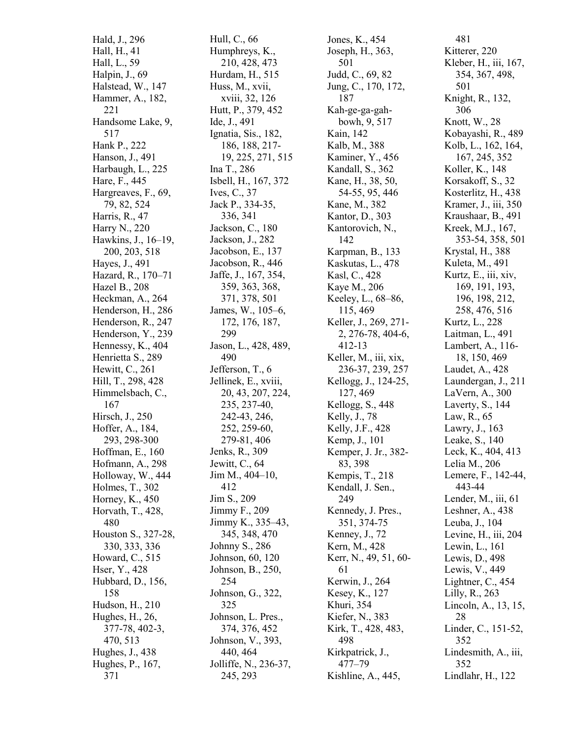Hald, J., 296 Hall, H., 41 Hall, L., 59 Halpin, J., 69 Halstead, W., 147 Hammer, A., 182, 221 Handsome Lake, 9, 517 Hank P., 222 Hanson, J., 49 1 Harbaugh, L., 225 Hare, F., 445 Hargreaves, F., 69, 79, 82, 524 Harris, R., 47 Harry N., 220 Hawkins, J., 16 –19, 200, 203, 51 8 Hayes, J., 491 Hazard, R., 170 –71 Hazel B., 208 Heckman, A., 264 Henderson, H., 28 6 Henderson, R., 247 Henderson, Y., 239 Hennessy, K., 404 Henrietta S., 289 Hewitt, C., 261 Hill, T., 298, 428 Himmelsbach, C., 167 Hirsch, J., 250 Hoffer, A., 184, 293, 298 -300 Hoffman, E., 160 Hofmann, A., 298 Holloway, W., 44 4 Holmes, T., 302 Horney, K., 450 Horvath, T., 428, 480 Houston S., 327 -28, 330, 333, 336 Howard, C., 51 5 Hser, Y., 428 Hubbard, D., 156, 158 Hudson, H., 210 Hughes, H., 26, 37 7 - 7 8, 40 2 -3, 470, 51 3 Hughes, J., 43 8 Hughes, P., 167, 371

Hull, C., 66 Humphreys, K., 210, 42 8, 47 3 Hurdam, H., 515 Huss, M., xvii, xviii, 32, 126 Hutt, P., 379, 45 2 Ide, J., 491 Ignatia, Sis., 182, 186, 188, 217 - 19, 225, 271, 51 5 Ina T., 286 Isbell, H., 167, 372 Ives, C., 37 Jack P., 334 - 3 5, 336, 341 Jackson, C., 180 Jackson, J., 282 Jacobson, E., 137 Jacobson, R., 44 6 Jaffe, J., 167, 354, 359, 363, 368, 371, 378, 50 1 James, W., 105 –6, 172, 176, 187, 299 Jason, L., 42 8, 489, 490 Jefferson, T., 6 Jellinek, E., xviii, 20, 43, 207, 224, 235, 237 -40, 242 -43, 246, 252, 259 -60, 279 -81, 40 6 Jenks, R., 309 Jewitt, C., 64 Jim M., 40 4 – 10, 412 Jim S., 209 Jimmy F., 209 Jimmy K., 335 –43, 345, 348, 47 0 Johnny S., 286 Johnson, 60, 120 Johnson, B., 250, 254 Johnson, G., 322, 325 Johnson, L. Pres., 37 4, 37 6, 45 2 Johnson, V., 393, 440, 46 4 Jolliffe, N., 236 -37, 245, 293

Jones, K., 45 4 Joseph, H., 363, 501 Judd, C., 69, 82 Jung, C., 170, 172, 187 Kah -ge -ga -gah bowh, 9, 51 7 Kain, 142 Kalb, M., 38 8 Kaminer, Y., 45 6 Kandall, S., 362 Kane, H., 38, 50, 54 -55, 95, 44 6 Kane, M., 382 Kantor, D., 303 Kantorovich, N., 142 Karpman, B., 133 Kaskutas, L., 47 8 Kasl, C., 428 Kaye M., 206 Keeley, L., 68 –86, 115, 469 Keller, J., 269, 271 - 2, 276 -78, 40 4 - 6, 412-13 Keller, M., iii, xix, 236 -37, 239, 257 Kellogg, J., 124 -25, 127, 469 Kellogg, S., 4 4 8 Kelly, J., 78 Kelly, J.F., 428 Kemp, J., 101 Kemper, J. Jr., 38 2 - 8 3, 39 8 Kempis, T., 218 Kendall, J. Sen., 249 Kennedy, J. Pres., 351, 37 4 - 7 5 Kenney, J., 72 Kern, M., 428 Kerr, N., 49, 51, 60 - 61 Kerwin, J., 264 Kesey, K., 127 Khuri, 354 Kiefer, N., 38 3 Kirk, T., 428, 483, 498 Kirkpatrick, J., 477 –79 Kishline, A., 445,

481 Kitterer, 220 Kleber, H., iii, 167, 354, 367, 498, 501 Knight, R., 132, 306 Knott, W., 28 Kobayashi, R., 489 Kolb, L., 162, 164, 167, 245, 352 Koller, K., 148 Korsakoff, S., 32 Kosterlitz, H., 438 Kramer, J., iii, 350 Kraushaar, B., 491 Kreek, M.J., 167, 353 -54, 358, 501 Krystal, H., 388 Kuleta, M., 491 Kurtz, E., iii, xiv, 169, 191, 193, 196, 198, 212, 258, 476, 51 6 Kurtz, L., 228 Laitman, L., 491 Lambert, A., 116 - 18, 150, 469 Laudet, A., 428 Laundergan, J., 211 LaVern, A., 300 Laverty, S., 144 Law, R., 65 Lawry, J., 163 Leake, S., 140 Leck, K., 404, 41 3 Lelia M., 206 Lemere, F., 142 -44, 443 - 4 4 Lender, M., iii, 61 Leshner, A., 43 8 Leuba, J., 104 Levine, H., iii, 204 Lewin, L., 161 Lewis, D., 498 Lewis, V., 449 Lightner, C., 45 4 Lilly, R., 263 Lincoln, A., 13, 15, 28 Linder, C., 151 -52, 352 Lindesmith, A., iii, 352 Lindlahr, H., 122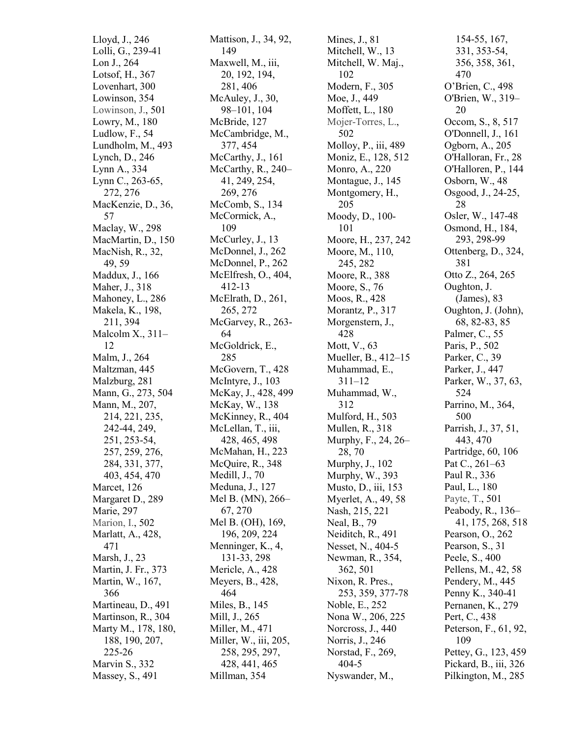Lloyd, J., 246 Lolli, G., 239 -41 Lon J., 264 Lotsof, H., 367 Lovenhart, 300 Lowinson, 354 Lowinson, J., 50 1 Lowry, M., 180 Ludlow, F., 54 Lundholm, M., 49 3 Lynch, D., 246 Lynn A., 334 Lynn C., 263 -65, 272, 276 MacKenzie, D., 36, 57 Maclay, W., 298 MacMartin, D., 150 MacNish, R., 32, 49, 59 Maddux, J., 166 Maher, J., 318 Mahoney, L., 286 Makela, K., 198, 211, 39 4 Malcolm X., 311 – 12 Malm, J., 264 Maltzman, 44 5 Malzburg, 281 Mann, G., 273, 504 Mann, M., 207, 214, 221, 235, 242 -44, 249, 251, 253 -54, 257, 259, 276, 284, 331, 37 7, 40 3, 45 4, 47 0 Marcet, 126 Margaret D., 289 Marie, 297 Marion, I., 50 2 Marlatt, A., 428, 471 Marsh, J., 23 Martin, J. Fr., 373 Martin, W., 167, 366 Martineau, D., 49 1 Martinson, R., 304 Marty M., 178, 180, 188, 190, 207, 225 -26 Marvin S., 332 Massey, S., 491

Mattison, J., 34, 92, 149 Maxwell, M., iii, 20, 192, 194, 281, 406 McAuley, J., 30, 98 –101, 104 McBride, 127 McCambridge, M., 377, 45 4 McCarthy, J., 161 McCarthy, R., 240 – 41, 249, 254, 269, 276 McComb, S., 134 McCormick, A., 109 McCurley, J., 13 McDonnel, J., 262 McDonnel, P., 262 McElfresh, O., 40 4, 41 2 - 1 3 McElrath, D., 261, 265, 272 McGarvey, R., 263 - 64 McGoldrick, E., 285 McGovern, T., 42 8 McIntyre, J., 103 McKay, J., 428, 499 McKay, W., 138 McKinney, R., 404 McLellan, T., iii, 42 8, 46 5, 49 8 McMahan, H., 223 McQuire, R., 348 Medill, J., 70 Meduna, J., 127 Mel B. (MN), 266 – 67, 270 Mel B. (OH), 169, 196, 209, 224 Menninger, K., 4, 131 -33, 298 Mericle, A., 42 8 Meyers, B., 428, 464 Miles, B., 145 Mill, J., 265 Miller, M., 471 Miller, W., iii, 205, 258, 295, 297, 428, 44 1, 46 5 Millman, 354

Mines, J., 81 Mitchell, W., 13 Mitchell, W. Maj., 102 Modern, F., 30 5 Moe, J., 449 Moffett, L., 180 Mojer -Torres, L., 502 Molloy, P., iii, 489 Moniz, E., 128, 51 2 Monro, A., 220 Montague, J., 145 Montgomery, H., 205 Moody, D., 100 - 101 Moore, H., 237, 242 Moore, M., 110, 245, 282 Moore, R., 38 8 Moore, S., 76 Moos, R., 428 Morantz, P., 317 Morgenstern, J., 428 Mott, V., 63 Mueller, B., 412–15 Muhammad, E., 311 –12 Muhammad, W., 312 Mulford, H., 503 Mullen, R., 318 Murphy, F., 24, 26 – 28, 70 Murphy, J., 102 Murphy, W., 393 Musto, D., iii, 153 Myerlet, A., 49, 58 Nash, 215, 221 Neal, B., 79 Neiditch, R., 49 1 Nesset, N., 404 - 5 Newman, R., 354, 362, 501 Nixon, R. Pres., 253, 359, 37 7 - 7 8 Noble, E., 252 Nona W., 206, 225 Norcross, J., 440 Norris, J., 246 Norstad, F., 269, 404 - 5 Nyswander, M.,

154 -55, 167, 331, 35 3 -54 , 356, 358, 361, 470 O'Brien, C., 49 8 O'Brien, W., 319 – 20 Occom, S., 8, 51 7 O'Donnell, J., 161 Ogborn, A., 205 O'Halloran, Fr., 28 O'Halloren, P., 144 Osborn, W., 48 Osgood, J., 24 -25, 28 Osler, W., 147 -48 Osmond, H., 184, 293, 298 -99 Ottenberg, D., 324, 381 Otto Z., 264, 265 Oughton, J. (James), 83 Oughton, J. (John), 68, 82 -83, 85 Palmer, C., 55 Paris, P., 50 2 Parker, C., 39 Parker, J., 44 7 Parker, W., 37, 63, 524 Parrino, M., 364, 500 Parrish, J., 37, 51, 443, 47 0 Partridge, 60, 106 Pat C., 261 –63 Paul R., 336 Paul, L., 180 Payte, T., 50 1 Peabody, R., 136 – 41, 175, 268, 51 8 Pearson, O., 262 Pearson, S., 31 Peele, S., 400 Pellens, M., 42, 58 Pendery, M., 445 Penny K., 340-41 Pernanen, K., 279 Pert, C., 438 Peterson, F., 61, 92, 109 Pettey, G., 123, 459 Pickard, B., iii, 326 Pilkington, M., 285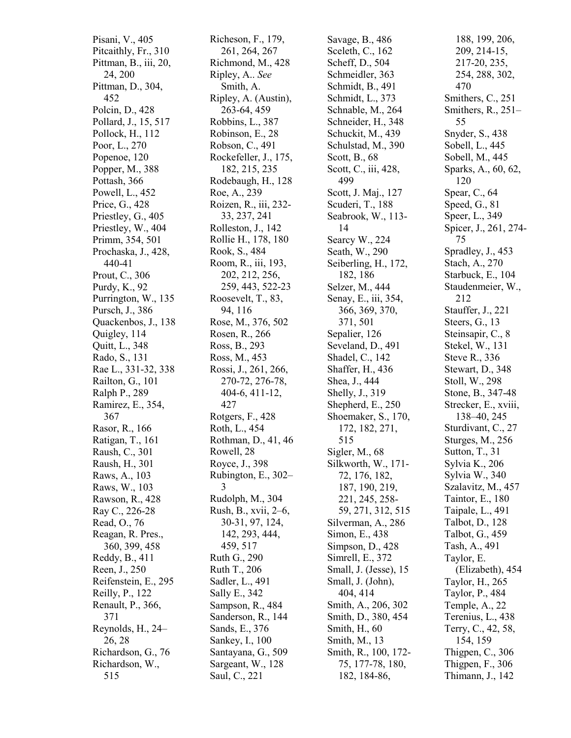Pisani, V., 405 Pitcaithly, Fr., 310 Pittman, B., iii, 20, 24, 200 Pittman, D., 304, 452 Polcin, D., 428 Pollard, J., 15, 51 7 Pollock, H., 112 Poor, L., 270 Popenoe, 120 Popper, M., 388 Pottash, 366 Powell, L., 452 Price, G., 428 Priestley, G., 405 Priestley, W., 40 4 Primm, 354, 501 Prochaska, J., 428, 440 - 4 1 Prout, C., 306 Purdy, K., 92 Purrington, W., 135 Pursch, J., 38 6 Quackenbos, J., 138 Quigley, 114 Quitt, L., 348 Rado, S., 131 Rae L., 331 -32, 338 Railton, G., 101 Ralph P., 289 Ramirez, E., 354, 367 Rasor, R., 166 Ratigan, T., 161 Raush, C., 301 Raush, H., 301 Raws, A., 103 Raws, W., 103 Rawson, R., 42 8 Ray C., 226 -28 Read, O., 76 Reagan, R. Pres., 360, 399, 45 8 Reddy, B., 411 Reen, J., 250 Reifenstein, E., 295 Reilly, P., 122 Renault, P., 366, 371 Reynolds, H., 24 – 26, 28 Richardson, G., 76 Richardson, W., 515

Richeson, F., 179, 261, 264, 267 Richmond, M., 42 8 Ripley, A.. *See* Smith, A. Ripley, A. (Austin), 263 -64, 459 Robbins, L., 38 7 Robinson, E., 28 Robson, C., 491 Rockefeller, J., 175, 182, 215, 235 Rodebaugh, H., 128 Roe, A., 239 Roizen, R., iii, 232 - 33, 237, 241 Rolleston, J., 142 Rollie H., 178, 180 Rook, S., 484 Room, R., iii, 193, 202, 212, 256, 259, 443, 52 2 - 2 3 Roosevelt, T., 83, 94, 116 Rose, M., 376, 50 2 Rosen, R., 266 Ross, B., 293 Ross, M., 453 Rossi, J., 261, 266, 270 -72, 276 -78, 404 - 6, 41 1 -12, 427 Rotgers, F., 428 Roth, L., 454 Rothman, D., 41, 46 Rowell, 28 Royce, J., 398 Rubington, E., 302 – 3 Rudolph, M., 304 Rush, B., xvii, 2 –6, 30 -31, 97, 124, 142, 293, 444, 459, 51 7 Ruth G., 290 Ruth T., 206 Sadler, L., 49 1 Sally E., 342 Sampson, R., 48 4 Sanderson, R., 144 Sands, E., 376 Sankey, I., 100 Santayana, G., 509 Sargeant, W., 128 Saul, C., 221

Savage, B., 486 Sceleth, C., 162 Scheff, D., 504 Schmeidler, 363 Schmidt, B., 49 1 Schmidt, L., 373 Schnable, M., 264 Schneider, H., 348 Schuckit, M., 439 Schulstad, M., 39 0 Scott, B., 68 Scott, C., iii, 428, 499 Scott, J. Maj., 127 Scuderi, T., 188 Seabrook, W., 11 3 - 14 Searcy W., 224 Seath, W., 290 Seiberling, H., 172, 182, 186 Selzer, M., 44 4 Senay, E., iii, 354, 366, 369, 370, 371, 501 Sepalier, 126 Seveland, D., 491 Shadel, C., 142 Shaffer, H., 436 Shea, J., 444 Shelly, J., 319 Shepherd, E., 250 Shoemaker, S., 170, 172, 182, 271, 515 Sigler, M., 68 Silkworth, W., 171 - 72, 176, 182, 187, 190, 219, 221, 245, 258 - 59, 271, 312, 515 Silverman, A., 286 Simon, E., 438 Simpson, D., 42 8 Simrell, E., 372 Small, J. (Jesse), 15 Small, J. (John), 40 4, 41 4 Smith, A., 206, 302 Smith, D., 38 0, 45 4 Smith, H., 60 Smith, M., 13 Smith, R., 100, 172 - 75, 177 -78, 180, 182, 184 -86,

188, 199, 206, 209, 214 -15, 217 -20, 235, 254, 288, 302, 47 0 Smithers, C., 251 Smithers, R., 251 – 55 Snyder, S., 43 8 Sobell, L., 445 Sobell, M., 44 5 Sparks, A., 60, 62, 120 Spear, C., 64 Speed, G., 81 Speer, L., 349 Spicer, J., 261, 274 - 75 Spradley, J., 45 3 Stach, A., 270 Starbuck, E., 104 Staudenmeier, W., 212 Stauffer, J., 221 Steers, G., 13 Steinsapir, C., 8 Stekel, W., 131 Steve R., 336 Stewart, D., 348 Stoll, W., 298 Stone, B., 347 -48 Strecker, E., xviii, 138 –40, 245 Sturdivant, C., 27 Sturges, M., 256 Sutton, T., 31 Sylvia K., 206 Sylvia W., 340 Szalavitz, M., 45 7 Taintor, E., 180 Taipale, L., 491 Talbot, D., 128 Talbot, G., 459 Tash, A., 491 Taylor, E. (Elizabeth), 45 4 Taylor, H., 265 Taylor, P., 484 Temple, A., 22 Terenius, L., 43 8 Terry, C., 42, 58, 154, 159 Thigpen, C., 306 Thigpen, F., 306 Thimann, J., 142